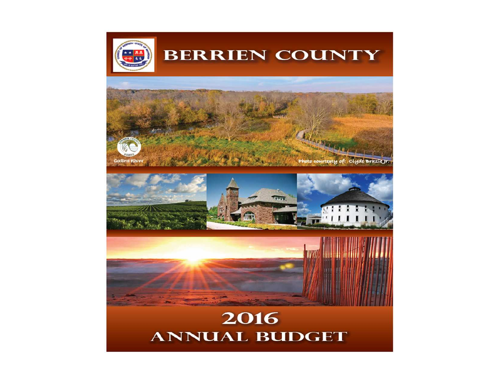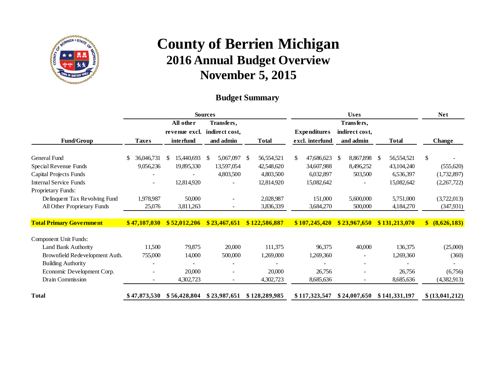

#### **Budget Summary**

|                                 |                |               | <b>Sources</b>     |               |                     |                          | <b>Net</b>         |                  |
|---------------------------------|----------------|---------------|--------------------|---------------|---------------------|--------------------------|--------------------|------------------|
|                                 |                | All other     | Transfers,         |               |                     | Transfers,               |                    |                  |
|                                 |                | revenue excl. | indirect cost,     |               | <b>Expenditures</b> | indirect cost,           |                    |                  |
| <b>Fund/Group</b>               | <b>Taxes</b>   | interfund     | and admin          | <b>Total</b>  | excl. interfund     | and admin                | <b>Total</b>       | Change           |
| <b>General Fund</b>             | 36,046,731     | 15,440,693    | 5,067,097 \$<br>-8 | 56,554,521    | 47,686,623          | 8,867,898<br>S.          | 56, 554, 521<br>-S | \$               |
| Special Revenue Funds           | 9,056,236      | 19,895,330    | 13,597,054         | 42,548,620    | 34,607,988          | 8,496,252                | 43,104,240         | (555,620)        |
| Capital Projects Funds          |                |               | 4,803,500          | 4,803,500     | 6,032,897           | 503,500                  | 6,536,397          | (1,732,897)      |
| <b>Internal Service Funds</b>   | $\blacksquare$ | 12,814,920    |                    | 12,814,920    | 15,082,642          |                          | 15,082,642         | (2,267,722)      |
| Proprietary Funds:              |                |               |                    |               |                     |                          |                    |                  |
| Delinquent Tax Revolving Fund   | 1,978,987      | 50,000        |                    | 2,028,987     | 151,000             | 5,600,000                | 5,751,000          | (3,722,013)      |
| All Other Proprietary Funds     | 25,076         | 3,811,263     |                    | 3,836,339     | 3,684,270           | 500,000                  | 4,184,270          | (347,931)        |
|                                 |                |               |                    |               |                     |                          |                    |                  |
| <b>Total Primary Government</b> | \$47,107,030   | \$52,012,206  | \$23,467,651       | \$122,586,887 | \$107,245,420       | \$23,967,650             | \$131,213,070      | \$ (8,626,183)   |
| Component Unit Funds:           |                |               |                    |               |                     |                          |                    |                  |
| Land Bank Authority             | 11,500         | 79,875        | 20,000             | 111,375       | 96,375              | 40,000                   | 136,375            | (25,000)         |
| Brownfield Redevelopment Auth.  | 755,000        | 14,000        | 500,000            | 1,269,000     | 1,269,360           |                          | 1,269,360          | (360)            |
| <b>Building Authority</b>       |                |               |                    |               |                     |                          |                    |                  |
| Economic Development Corp.      |                | 20,000        |                    | 20,000        | 26,756              |                          | 26,756             | (6,756)          |
| Drain Commission                | $\blacksquare$ | 4,302,723     | $\sim$             | 4,302,723     | 8,685,636           | $\overline{\phantom{a}}$ | 8,685,636          | (4,382,913)      |
| <b>Total</b>                    | \$47,873,530   | \$56,428,804  | \$23,987,651       | \$128,289,985 | \$117,323,547       | \$24,007,650             | \$141,331,197      | \$(13, 041, 212) |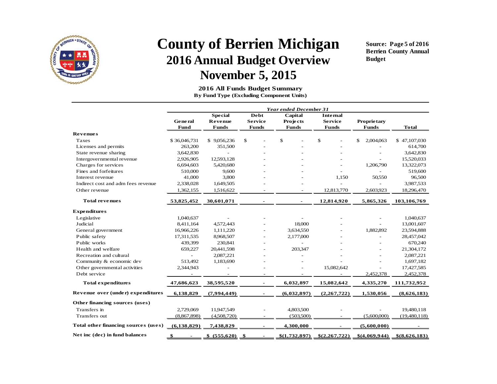

**Source: Page 5 of 2016 Berrien County Annual Budget**

 **2016 All Funds Budget SummaryBy Fund Type (Excluding Component Units)**

|                                      | Year ended December 31 |                  |                |               |                |                    |               |  |  |  |
|--------------------------------------|------------------------|------------------|----------------|---------------|----------------|--------------------|---------------|--|--|--|
|                                      |                        |                  |                |               |                |                    |               |  |  |  |
|                                      | <b>General</b>         | Revenue          | <b>Service</b> | Projects      | <b>Service</b> | <b>Proprietary</b> |               |  |  |  |
|                                      | Fund                   | <b>Funds</b>     | <b>Funds</b>   | <b>Funds</b>  | <b>Funds</b>   | <b>Funds</b>       | <b>Total</b>  |  |  |  |
| <b>Revenues</b>                      |                        |                  |                |               |                |                    |               |  |  |  |
| Taxes                                | \$36,046,731           | \$9,056,236      | \$             | \$            | \$             | \$<br>2,004,063    | \$47,107,030  |  |  |  |
| Licenses and permits                 | 263,200                | 351,500          |                |               |                |                    | 614,700       |  |  |  |
| State revenue sharing                | 3,642,830              | $\overline{a}$   |                |               |                |                    | 3,642,830     |  |  |  |
| Intergovernmental revenue            | 2,926,905              | 12,593,128       |                |               |                |                    | 15,520,033    |  |  |  |
| Charges for services                 | 6,694,603              | 5,420,680        |                |               |                | 1,206,790          | 13,322,073    |  |  |  |
| Fines and forfeitures                | 510,000                | 9,600            |                |               |                |                    | 519,600       |  |  |  |
| Interest revenue                     | 41,000                 | 3,800            |                |               | 1,150          | 50,550             | 96,500        |  |  |  |
| Indirect cost and adm fees revenue   | 2,338,028              | 1,649,505        |                |               |                | $\overline{a}$     | 3,987,533     |  |  |  |
| Other revenue                        | 1,362,155              | 1,516,622        |                |               | 12,813,770     | 2,603,923          | 18,296,470    |  |  |  |
| <b>Total revenues</b>                | 53,825,452             | 30,601,071       |                | $\sim$        | 12,814,920     | 5,865,326          | 103,106,769   |  |  |  |
| <b>Expenditures</b>                  |                        |                  |                |               |                |                    |               |  |  |  |
| Legislative                          | 1,040,637              |                  |                |               |                |                    | 1,040,637     |  |  |  |
| Judicial                             | 8,411,164              | 4,572,443        |                | 18,000        |                |                    | 13,001,607    |  |  |  |
| General government                   | 16,966,226             | 1,111,220        |                | 3,634,550     |                | 1,882,892          | 23,594,888    |  |  |  |
| Public safety                        | 17,311,535             | 8,968,507        |                | 2,177,000     |                |                    | 28,457,042    |  |  |  |
| Public works                         | 439,399                | 230,841          |                |               |                |                    | 670,240       |  |  |  |
| Health and welfare                   | 659,227                | 20,441,598       |                | 203,347       |                |                    | 21,304,172    |  |  |  |
| Recreation and cultural              | $\overline{a}$         | 2,087,221        |                |               |                |                    | 2,087,221     |  |  |  |
| Community & economic dev             | 513,492                | 1,183,690        |                |               |                |                    | 1,697,182     |  |  |  |
| Other governmental activities        | 2,344,943              |                  |                |               | 15,082,642     |                    | 17,427,585    |  |  |  |
| Debt service                         |                        |                  |                |               |                | 2,452,378          | 2,452,378     |  |  |  |
| <b>Total expenditures</b>            | 47,686,623             | 38,595,520       | $\sim$         | 6,032,897     | 15,082,642     | 4,335,270          | 111,732,952   |  |  |  |
| Revenue over (under) expenditures    | 6,138,829              | (7,994,449)      | $\blacksquare$ | (6,032,897)   | (2,267,722)    | 1,530,056          | (8,626,183)   |  |  |  |
| Other financing sources (uses)       |                        |                  |                |               |                |                    |               |  |  |  |
| Transfers in                         | 2,729,069              | 11.947,549       |                | 4,803,500     |                | $\bar{a}$          | 19,480,118    |  |  |  |
| Transfers out                        | (8,867,898)            | (4,508,720)      |                | (503, 500)    |                | (5,600,000)        | (19,480,118)  |  |  |  |
| Total other financing sources (uses) | (6, 138, 829)          | 7,438,829        |                | 4,300,000     |                | (5,600,000)        |               |  |  |  |
| Net inc (dec) in fund balances       |                        | $$ (555,620)$ \$ | $\sim$         | \$(1,732,897) | \$(2,267,722)  | \$(4,069,944)      | \$(8,626,183) |  |  |  |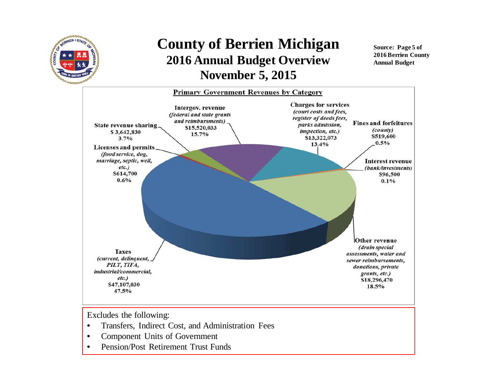

**Source: Page 5 of 2016 Berrien County Annual Budget**



Excludes the following:

- •Transfers, Indirect Cost, and Administration Fees
- •Component Units of Government
- •Pension/Post Retirement Trust Funds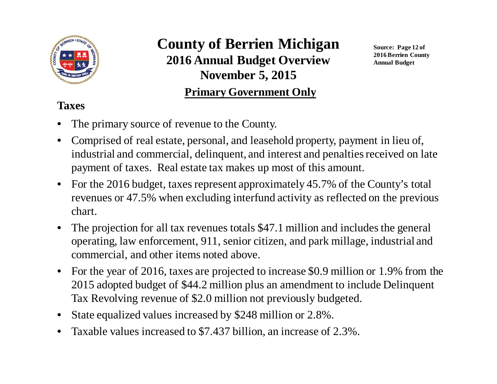

## **County of Berrien Michigan 2016 Annual Budget OverviewNovember 5, 2015Primary Government Only**

**Source: Page 12 of 2016 Berrien County Annual Budget**

### **Taxes**

- •The primary source of revenue to the County.
- • Comprised of real estate, personal, and leasehold property, payment in lieu of, industrial and commercial, delinquent, and interest and penalties received on late payment of taxes. Real estate tax makes up most of this amount.
- $\bullet$  For the 2016 budget, taxes represent approximately 45.7% of the County's total revenues or 47.5% when excluding interfund activity as reflected on the previous chart.
- • The projection for all tax revenues totals \$47.1 million and includes the general operating, law enforcement, 911, senior citizen, and park millage, industrial and commercial, and other items noted above.
- For the year of 2016, taxes are projected to increase \$0.9 million or 1.9% from the 2015 adopted budget of \$44.2 million plus an amendment to include Delinquent Tax Revolving revenue of \$2.0 million not previously budgeted.
- •State equalized values increased by \$248 million or 2.8%.
- $\bullet$ Taxable values increased to \$7.437 billion, an increase of 2.3%.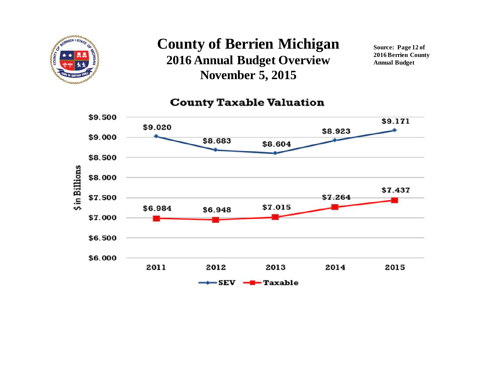

**Source: Page 12 of 2016 Berrien County Annual Budget**

#### **County Taxable Valuation**

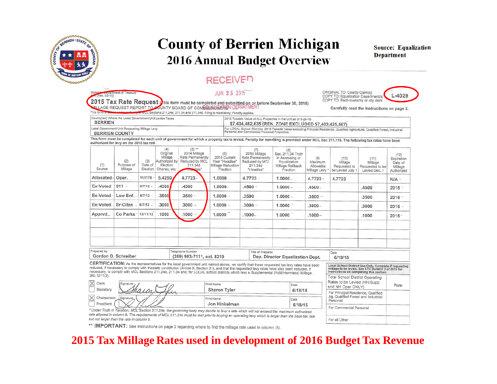

Rev. 03-15)

### **County of Berrien Michigan2016 Annual Budget Overview**

#### **RECEIVED**

#### JUN 25 2015

**Source: Equalization Department**

 $L - 4029$ 

2015 Tax Rate Request this form must be completed and submitted on or before September 30, 2015) **WILAGE REQUEST REPORT TO POUNTY BOARD OF COMMISSIONERSN DEPARTME** 

MCL Sections 211,24e, 211.34 and 211.34d. Filing is mandatory; Penalty applies.

Carefully read the instructions on page 2.

ORIGINAL TO: County Clerkis)

For all Other

COPY TO: Equalization Department(s)

COPY TO: Each township or city clerk

| County(les) Where the Local Government Unit Levies Taxes | 2015 Taxable Value of ALL Properties in the Unit as of 5-26-15                                                                     |
|----------------------------------------------------------|------------------------------------------------------------------------------------------------------------------------------------|
| <b>BERRIEN</b>                                           | \$7,434,482,635 (REN. ZONE EXCLUDED \$7,403,425,567)                                                                               |
| Local Government Unit Requesting Millage Levy            | For LOCAL School Districts: 2015 Taxable Value excluding Principal Residence, Qualified Agricutlural, Qualified Forest, Industrial |
| <b>BERRIEN COUNTY</b>                                    | Personal and Commercial Personal Properties.                                                                                       |

This form must be completed for each unit of government for which a property tax is levied. Penalty for non-filing is provided under MCL Sec 211.119. The following tax rates have been authorized for levy on the 2015 tax roll.

| (1)<br>Source                                                                                                                                                                                                                                                                                                                                                                                                                                                                                                                                                                                            | (2)<br>Purpose of<br>Millage | (3)<br>Date of<br>Election | (4)<br>Original<br>Millage<br>Authorized by<br>Election<br>Charter, etc. | $(5)$ **<br>2014 Millage<br>Rate Permanently<br>Reduced by MCL<br>211.34d<br>dlee' | (6)<br>2015 Current<br>Year "Headlee"<br>Millage Reduction<br>Fraction | (7)<br>2015 Millage<br>Rate Permanently<br>Reduced by MCI.<br>211.34d<br>"Headlee" | (B)<br>Sec. 211.34 Truth<br>in Assessing or<br>Equalization<br>Millage Rollback<br>Fraction | (9)<br>Maximum<br>Allowable<br>Millage Levy *                                       | (10)<br>Millage<br>Requested to<br>be Levied July | (11)<br>Millage<br>Requested to be<br>Levied Dec. 1 | (12)<br>Expiration<br>Date of<br>Millage<br>Authorized |
|----------------------------------------------------------------------------------------------------------------------------------------------------------------------------------------------------------------------------------------------------------------------------------------------------------------------------------------------------------------------------------------------------------------------------------------------------------------------------------------------------------------------------------------------------------------------------------------------------------|------------------------------|----------------------------|--------------------------------------------------------------------------|------------------------------------------------------------------------------------|------------------------------------------------------------------------|------------------------------------------------------------------------------------|---------------------------------------------------------------------------------------------|-------------------------------------------------------------------------------------|---------------------------------------------------|-----------------------------------------------------|--------------------------------------------------------|
| Allocated-                                                                                                                                                                                                                                                                                                                                                                                                                                                                                                                                                                                               | Oper.                        | 11/7/78                    | 5.4250                                                                   | 4.7723-                                                                            | 1.0000                                                                 | $4.7723 -$                                                                         | $1.0000 -$                                                                                  | $4.7723 -$                                                                          | 4.7723                                            |                                                     | $N/A -$                                                |
| Ex-Voted                                                                                                                                                                                                                                                                                                                                                                                                                                                                                                                                                                                                 | $911 -$                      | $8/7/12 -$                 | .4500                                                                    | .4500                                                                              | $1.0000 -$                                                             | $.4500 -$                                                                          | $1.0000 -$                                                                                  | $.4500 -$                                                                           |                                                   | .4500                                               | $2016 -$                                               |
| Ex-Voted                                                                                                                                                                                                                                                                                                                                                                                                                                                                                                                                                                                                 | Law Enf.                     | $8/7/12 -$                 | .3500                                                                    | $.3500 -$                                                                          | $1.0000 -$                                                             | .3500                                                                              | $1.0000 -$                                                                                  | $.3500 -$                                                                           |                                                   | .3500                                               | $2016 -$                                               |
| Ex-Voted                                                                                                                                                                                                                                                                                                                                                                                                                                                                                                                                                                                                 | Sr-Citzn                     | $8/7/12$ -                 | .3000                                                                    | $.3000 -$                                                                          | $1.0000 -$                                                             | $.3000 -$                                                                          | $1.0000$ <sup>-</sup>                                                                       | $.3000 -$                                                                           |                                                   | .3000                                               | $2016 -$                                               |
| Apprvd.                                                                                                                                                                                                                                                                                                                                                                                                                                                                                                                                                                                                  | Co Parks                     | 10/11/12                   | .1000                                                                    | $.1000 -$                                                                          | 1.0000                                                                 | $.1000 -$                                                                          | 1.0000                                                                                      | $.1000 -$                                                                           |                                                   | .1000                                               | $2015 -$                                               |
|                                                                                                                                                                                                                                                                                                                                                                                                                                                                                                                                                                                                          |                              |                            |                                                                          |                                                                                    |                                                                        |                                                                                    |                                                                                             |                                                                                     |                                                   |                                                     |                                                        |
|                                                                                                                                                                                                                                                                                                                                                                                                                                                                                                                                                                                                          |                              |                            |                                                                          |                                                                                    |                                                                        |                                                                                    |                                                                                             |                                                                                     |                                                   |                                                     |                                                        |
| Prepared by<br>Telephone Number<br>Title of Preparer<br>Date<br>Gordon D. Schreiber<br>(269) 983-7111, ext. 8219<br>Dep. Director Equalization Dept.<br>6/18/15                                                                                                                                                                                                                                                                                                                                                                                                                                          |                              |                            |                                                                          |                                                                                    |                                                                        |                                                                                    |                                                                                             |                                                                                     |                                                   |                                                     |                                                        |
| CERTIFICATION: As the representatives for the local government unit named above, we certify that these requested tax levy rates have been<br>Local School District Use Only. Complete if requesting<br>reduced, if necessary to comply with thestate constitution (Article 9, Section 31), and that the requested levy rates have also been reduced, if<br>millage to be levied. See STC Bulletin 3 of 2015 for<br>necessary, to comply with MCL Sections 211.24e, 211.34 and, for LOCAL school districts which levy a Supplemental (Hold Harmless) Millage,<br>instructions on completing this section. |                              |                            |                                                                          |                                                                                    |                                                                        |                                                                                    |                                                                                             |                                                                                     |                                                   |                                                     |                                                        |
| 380.1211(3).<br>$\times$ Clerk<br>Signature / /<br>Print Name<br>Date<br>$\mathcal{M}$<br>Conrotoni<br>Charge Tuley<br>0.14014                                                                                                                                                                                                                                                                                                                                                                                                                                                                           |                              |                            |                                                                          |                                                                                    |                                                                        |                                                                                    |                                                                                             | Total School District Operating<br>Rates to be Levied (HH/Supp<br>and NH Oper ONLY) |                                                   | Rate                                                |                                                        |

Sharon Tyler 6/18/15 Shown For Principal Residence, Qualified Ag, Qualified Forest and Industrial<br>Personal  $\overline{\times}$ Chairperson Print Name Date President Jon Hinkelman  $6/18/15$ For Commercial Personal

\* Under Truth in Taxalion, MCL'Section 211.24e, the governing body may decide to levy a rate which will not exceed the maximum authorized rate allowed in column 9. The requirements of MCL 211.24e must be met prior to levying an operating levy which is larger than the base tax rate but not larger than the rate in column 9.

\*\* IMPORTANT: See instructions on page 2 regarding where to find the millage rate used in column (5).

#### **2015 Tax Millage Rates used in development of 2016 Budget Tax Revenue**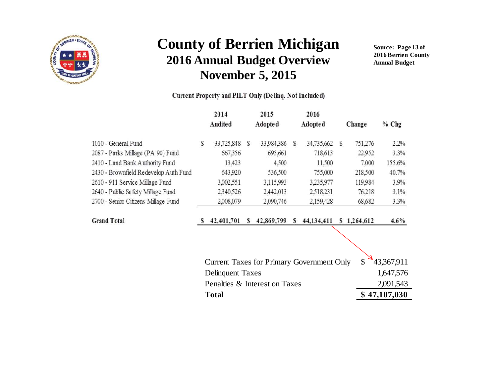

**Source: Page 13 of 2016 Berrien County Annual Budget**

#### Current Property and PILT Only (Delinq. Not Included)

|                                       |   | 2014<br>Audited                                  |   | 2015<br>Adopte d |   | 2016<br>Adopted |   | Change      | $%$ Chg      |
|---------------------------------------|---|--------------------------------------------------|---|------------------|---|-----------------|---|-------------|--------------|
| 1010 - General Fund                   | S | 33,725,848                                       | S | 33.984,386       | S | 34,735,662      | S | 751,276     | 2.2%         |
| 2087 - Parks Millage (PA 90) Fund     |   | 667,356                                          |   | 695,661          |   | 718,613         |   | 22,952      | 3.3%         |
| 2410 - Land Bank Authority Fund       |   | 13,423                                           |   | 4,500            |   | 11.500          |   | 7,000       | 155.6%       |
| 2430 - Brownfield Redevelop Auth Fund |   | 643,920                                          |   | 536,500          |   | 755,000         |   | 218,500     | 40.7%        |
| 2610 - 911 Service Millage Fund       |   | 3,002,551                                        |   | 3,115,993        |   | 3235,977        |   | 119984      | 3.9%         |
| 2640 - Public Safety Millage Fund     |   | 2340,526                                         |   | 2,442,013        |   | 2,518.231       |   | 76.218      | 3.1%         |
| 2700 - Senior Citizens Millage Fund   |   | 2,008,079                                        |   | 2,090,746        |   | 2,159,428       |   | 68,682      | 3.3%         |
| <b>Grand Total</b>                    | S | 42,401,701                                       | S | 42,869,799       | S | 44,134,411      |   | \$1,264,612 | $4.6\%$      |
|                                       |   |                                                  |   |                  |   |                 |   |             |              |
|                                       |   | <b>Current Taxes for Primary Government Only</b> |   |                  |   |                 |   | \$          | 43,367,911   |
|                                       |   | <b>Delinquent Taxes</b>                          |   |                  |   |                 |   |             | 1,647,576    |
|                                       |   | Penalties & Interest on Taxes                    |   |                  |   |                 |   |             | 2,091,543    |
|                                       |   | <b>Total</b>                                     |   |                  |   |                 |   |             | \$47,107,030 |
|                                       |   |                                                  |   |                  |   |                 |   |             |              |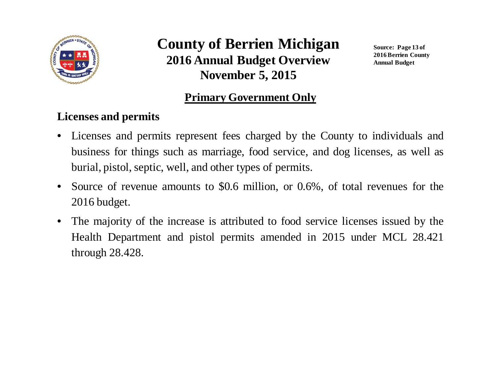

**Source: Page 13 of 2016 Berrien County Annual Budget**

#### **Primary Government Only**

#### **Licenses and permits**

- • Licenses and permits represen<sup>t</sup> fees charged by the County to individuals andbusiness for things such as marriage, food service, and dog licenses, as well asburial, pistol, septic, well, and other types of permits.
- • Source of revenue amounts to \$0.6 million, or 0.6%, of total revenues for the2016 budget.
- $\bullet$  The majority of the increase is attributed to food service licenses issued by theHealth Department and pistol permits amended in 2015 under MCL 28.421through 28.428.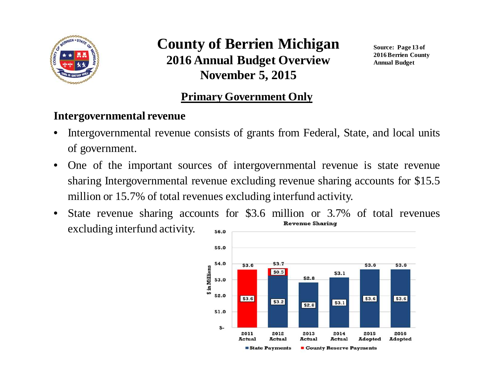

**Source: Page 13 of 2016 Berrien County Annual Budget**

#### **Primary Government Only**

#### **Intergovernmental revenue**

- • Intergovernmental revenue consists of grants from Federal, State, and local unitsof government.
- • One of the important sources of intergovernmental revenue is state revenuesharing Intergovernmental revenue excluding revenue sharing accounts for \$15.5million or 15.7% of total revenues excluding interfund activity.
- State revenue sharing accounts for \$3.6 million or 3.7% of total revenues •excluding interfund activity.\$6.0

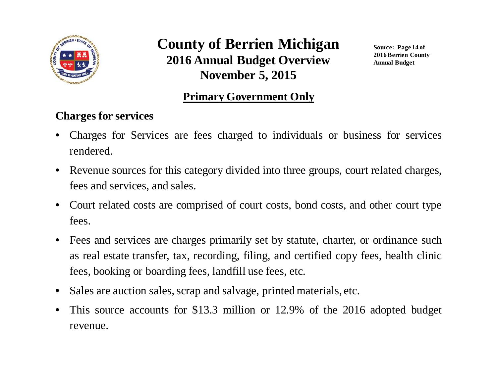

**Source: Page 14 of 2016 Berrien County Annual Budget**

#### **Primary Government Only**

#### **Charges for services**

- • Charges for Services are fees charged to individuals or business for servicesrendered.
- $\bullet$  Revenue sources for this category divided into three groups, court related charges, fees and services, and sales.
- $\bullet$  Court related costs are comprised of court costs, bond costs, and other court typefees.
- $\bullet$  Fees and services are charges primarily set by statute, charter, or ordinance suchas real estate transfer, tax, recording, filing, and certified copy fees, health clinicfees, booking or boarding fees, landfill use fees, etc.
- $\bullet$ Sales are auction sales, scrap and salvage, printed materials, etc.
- • This source accounts for \$13.3 million or 12.9% of the <sup>2016</sup> adopted budget revenue.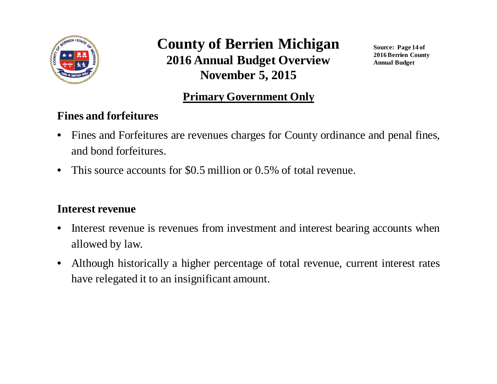

**Source: Page 14 of 2016 Berrien County Annual Budget**

#### **Primary Government Only**

#### **Fines and forfeitures**

- • Fines and Forfeitures are revenues charges for County ordinance and penal fines, and bond forfeitures.
- $\bullet$ This source accounts for \$0.5 million or 0.5% of total revenue.

#### **Interest revenue**

- • Interest revenue is revenues from investment and interest bearing accounts whenallowed by law.
- $\bullet$  Although historically <sup>a</sup> higher percentage of total revenue, current interest rateshave relegated it to an insignificant amount.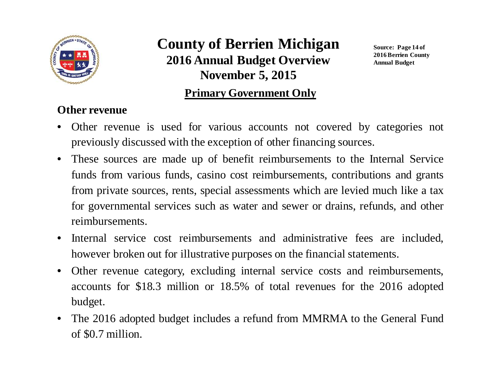

#### **Primary Government Only**

**Source: Page 14 of 2016 Berrien County Annual Budget**

#### **Other revenue**

- • Other revenue is used for various accounts not covered by categories notpreviously discussed with the exception of other financing sources.
- These sources are made up of benefit reimbursements to the Internal Servicefunds from various funds, casino cost reimbursements, contributions and grantsfrom private sources, rents, special assessments which are levied much like <sup>a</sup> taxfor governmental services such as water and sewer or drains, refunds, and otherreimbursements.
- $\bullet$  Internal service cost reimbursements and administrative fees are included, however broken out for illustrative purposes on the financial statements.
- $\bullet$  Other revenue category, excluding internal service costs and reimbursements, accounts for \$18.3 million or 18.5% of total revenues for the 2016 adoptedbudget.
- The <sup>2016</sup> adopted budget includes <sup>a</sup> refund from MMRMA to the General Fundof \$0.7 million.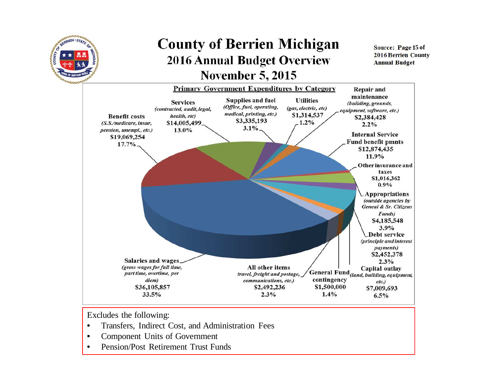

**November 5, 2015**

**Source: Page 15 of 2016 Berrien County Annual Budget**



Excludes the following:

- •Transfers, Indirect Cost, and Administration Fees
- •Component Units of Government
- •Pension/Post Retirement Trust Funds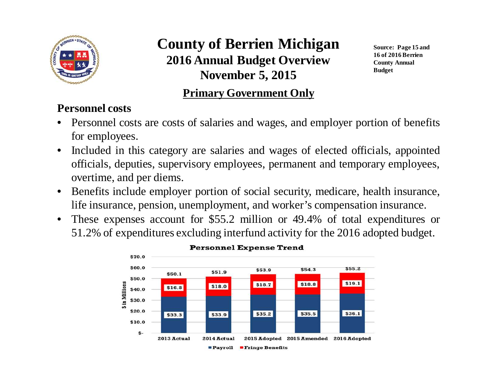

**Source: Page 15 and 16 of 2016 Berrien County Annual Budget**

#### **Primary Government Only**

#### **Personnel costs**

- Personnel costs are costs of salaries and wages, and employer portion of benefitsfor employees.
- $\bullet$  Included in this category are salaries and wages of elected officials, appointed officials, deputies, supervisory employees, permanen<sup>t</sup> and temporary employees, overtime, and per diems.
- $\bullet$  Benefits include employer portion of social security, medicare, health insurance, life insurance, pension, unemployment, and worker's compensation insurance.
- $\bullet$  These expenses account for \$55.2 million or 49.4% of total expenditures or 51.2% of expenditures excluding interfund activity for the 2016 adopted budget.

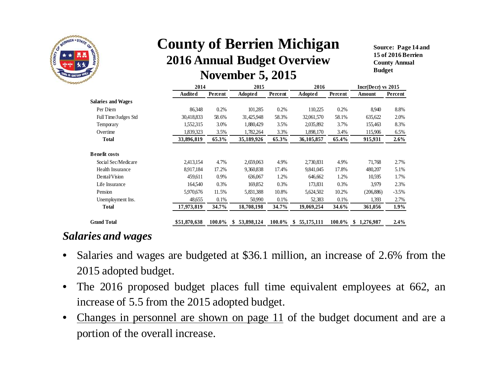

**Source: Page 14 and 15 of 2016 Berrien County Annual Budget**

|                           | 2014           |         | 2015             |         | 2016                |         | $Incr(Decr)$ vs 2015 |         |  |
|---------------------------|----------------|---------|------------------|---------|---------------------|---------|----------------------|---------|--|
|                           | <b>Audited</b> | Percent | Adopted          | Percent | Adopted             | Percent | Amount               | Percent |  |
| <b>Salaries and Wages</b> |                |         |                  |         |                     |         |                      |         |  |
| Per Diem                  | 86,348         | 0.2%    | 101,285          | 0.2%    | 110,225             | 0.2%    | 8,940                | 8.8%    |  |
| Full Time/Judges Std      | 30,418,833     | 58.6%   | 31,425,948       | 58.3%   | 32,061,570          | 58.1%   | 635,622              | 2.0%    |  |
| Temporary                 | 1,552,315      | 3.0%    | 1,880,429        | 3.5%    | 2,035,892           | 3.7%    | 155,463              | 8.3%    |  |
| Overtime                  | 1,839,323      | 3.5%    | 1,782,264        | 3.3%    | 1,898,170           | 3.4%    | 115,906              | 6.5%    |  |
| <b>Total</b>              | 33,896,819     | 65.3%   | 35,189,926       | 65.3%   | 36,105,857          | 65.4%   | 915,931              | 2.6%    |  |
| <b>Benefit costs</b>      |                |         |                  |         |                     |         |                      |         |  |
| Social Sec/Medicare       | 2,413,154      | 4.7%    | 2,659,063        | 4.9%    | 2,730,831           | 4.9%    | 71,768               | 2.7%    |  |
| Health Insurance          | 8,917,184      | 17.2%   | 9,360,838        | 17.4%   | 9,841,045           | 17.8%   | 480,207              | 5.1%    |  |
| Dental/Vision             | 459,611        | $0.9\%$ | 636,067          | 1.2%    | 646,662             | 1.2%    | 10,595               | 1.7%    |  |
| Life Insurance            | 164,540        | 0.3%    | 169,852          | 0.3%    | 173,831             | 0.3%    | 3,979                | 2.3%    |  |
| Pension                   | 5,970,676      | 11.5%   | 5,831,388        | 10.8%   | 5,624,502           | 10.2%   | (206, 886)           | $-3.5%$ |  |
| Unemployment Ins.         | 48,655         | 0.1%    | 50,990           | 0.1%    | 52,383              | 0.1%    | 1,393                | 2.7%    |  |
| <b>Total</b>              | 17,973,819     | 34.7%   | 18,708,198       | 34.7%   | 19,069,254          | 34.6%   | 361,056              | 1.9%    |  |
| <b>Grand Total</b>        | \$51,870,638   | 100.0%  | 53,898,124<br>\$ | 100.0%  | 55, 175, 111<br>\$. | 100.0%  | \$<br>1,276,987      | 2.4%    |  |

#### *Salaries and wages*

- $\bullet$  Salaries and wages are budgeted at \$36.1 million, an increase of 2.6% from the2015 adopted budget.
- $\bullet$  The <sup>2016</sup> propose<sup>d</sup> budget <sup>p</sup>laces full time equivalent employees at 662, anincrease of 5.5 from the 2015 adopted budget.
- • Changes in personne<sup>l</sup> are shown on page <sup>11</sup> of the budget document and are <sup>a</sup>portion of the overall increase.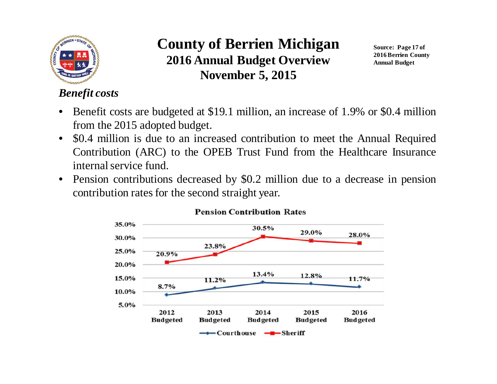

**Source: Page 17 of 2016 Berrien County Annual Budget**

### *Benefit costs*

- • Benefit costs are budgeted at \$19.1 million, an increase of 1.9% or \$0.4 millionfrom the 2015 adopted budget.
- $\bullet$  \$0.4 million is due to an increased contribution to meet the Annual Required Contribution (ARC) to the OPEB Trust Fund from the Healthcare Insuranceinternal service fund.
- $\bullet$  Pension contributions decreased by \$0.2 million due to <sup>a</sup> decrease in pensioncontribution rates for the second straight year.



#### **Pension Contribution Rates**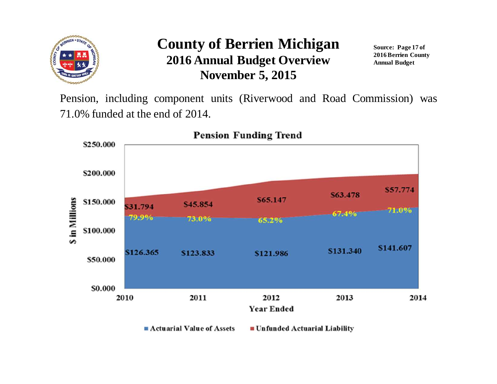

**Source: Page 17 of 2016 Berrien County Annual Budget**

Pension, including componen<sup>t</sup> units (Riverwood and Road Commission) was71.0% funded at the end of 2014.

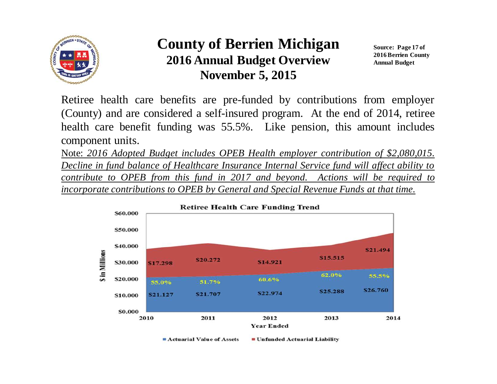

**Source: Page 17 of 2016 Berrien County Annual Budget**

Retiree health care benefits are pre-funded by contributions from employer (County) and are considered <sup>a</sup> self-insured program. At the end of 2014, retiree health care benefit funding was 55.5%. Like pension, this amount includescomponen<sup>t</sup> units.

Note: *<sup>2016</sup> Adopted Budget includes OPEB Health employer contribution of \$2,080,015.* Decline in fund balance of Healthcare Insurance Internal Service fund will affect ability to <u>contribute to OPEB from this fund in 2017 and beyond. Actions will be required to </u> incorporate contributions to OPEB by General and Special Revenue Funds at that time.

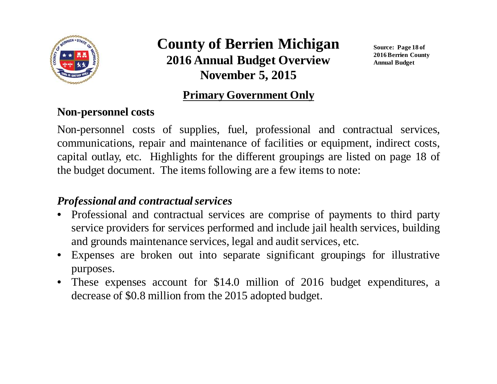

**Source: Page 18 of 2016 Berrien County Annual Budget**

#### **Primary Government Only**

#### **Non-personnel costs**

Non-personnel costs of supplies, fuel, professional and contractual services, communications, repair and maintenance of facilities or equipment, indirect costs, capital outlay, etc. Highlights for the different groupings are listed on page <sup>18</sup> of the budget document. The items following are <sup>a</sup> few items to note:

### *Professional and contractual services*

- Professional and contractual services are comprise of payments to third party service providers for services performed and include jail health services, building and grounds maintenance services, legal and audit services, etc.
- Expenses are broken out into separate significant groupings for illustrativepurposes.
- These expenses account for \$14.0 million of <sup>2016</sup> budget expenditures, <sup>a</sup>decrease of \$0.8 million from the 2015 adopted budget.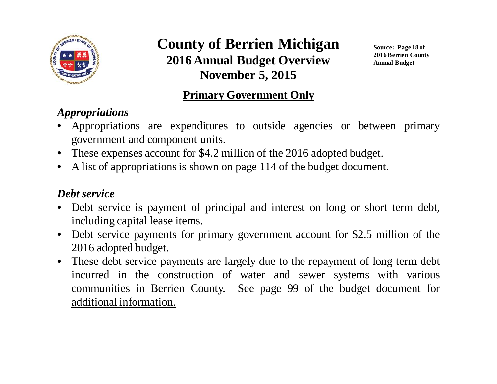

**Source: Page 18 of 2016 Berrien County Annual Budget**

### **Primary Government Only**

### *Appropriations*

- • Appropriations are expenditures to outside agencies or between primarygovernmen<sup>t</sup> and componen<sup>t</sup> units.
- These expenses account for \$4.2 million of the <sup>2016</sup> adopted budget.
- •<sup>A</sup> list of appropriations is shown on page <sup>114</sup> of the budget document.

### *Debt service*

- Debt service is paymen<sup>t</sup> of principal and interest on long or short term debt, •including capital lease items.
- Debt service payments for primary governmen<sup>t</sup> account for \$2.5 million of the 2016 adopted budget.
- These debt service payments are largely due to the repayment of long term debt<br>in sympathy and construction of repayment and correspondent to the regions incurred in the construction of water and sewer systems with variouscommunities in Berrien County. See page 99 of the budget document for additional information.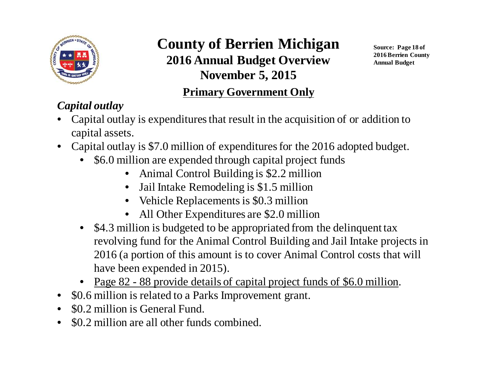

**Source: Page 18 of 2016 Berrien County Annual Budget**

### **Primary Government Only**

### *Capital outlay*

- Capital outlay is expenditures that result in the acquisition of or addition to •capital assets.
- Capital outlay is \$7.0 million of expenditures for the 2016 adopted budget.
	- \$6.0 million are expended through capital project funds
		- Animal Control Building is \$2.2 million
		- Jail Intake Remodeling is \$1.5 million
		- Vehicle Replacements is \$0.3 million
		- All Other Expenditures are \$2.0 million•
	- \$4.3 million is budgeted to be appropriated from the delinquent tax revolving fund for the Animal Control Building and Jail Intake projects in 2016 (a portion of this amount is to cover Animal Control costs that will have been expended in 2015).
	- Page 82 88 provide details of capital project funds of \$6.0 million.
- $\bullet$ \$0.6 million is related to a Parks Improvement grant.
- •\$0.2 million is General Fund.
- •\$0.2 million are all other funds combined.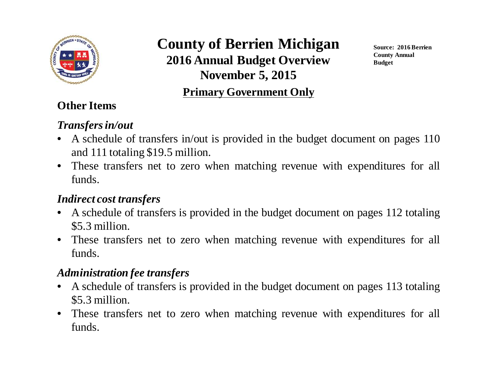

#### **Primary Government Only**

**Source: 2016 Berrien County Annual Budget**

### **Other Items**

#### *Transfers in/out*

- <sup>A</sup> schedule of transfers in/out is provided in the budget document on pages <sup>110</sup>and <sup>111</sup> totaling \$19.5 million.
- These transfers net to zero when matching revenue with expenditures for all funds.

#### *Indirect cost transfers*

- <sup>A</sup> schedule of transfers is provided in the budget document on pages <sup>112</sup> totaling\$5.3 million.
- These transfers net to zero when matching revenue with expenditures for all funds.

### *Administration fee transfers*

- <sup>A</sup> schedule of transfers is provided in the budget document on pages <sup>113</sup> totaling\$5.3 million.
- These transfers net to zero when matching revenue with expenditures for all funds.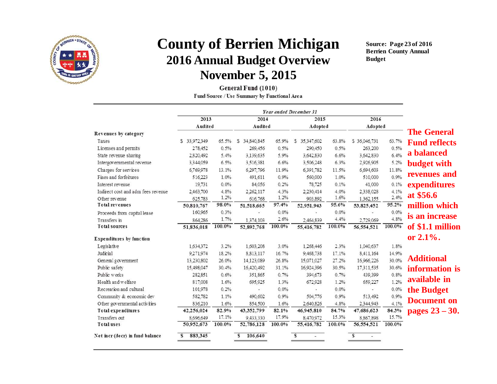

**Source: Page 23 of 2016 Berrien County Annual Budget**

General Fund (1010) Fund Source / Use Summary by Functional Area

| 2013                               |               | 2014   |                 | 2015    |                 | 2016    |              |        |                      |
|------------------------------------|---------------|--------|-----------------|---------|-----------------|---------|--------------|--------|----------------------|
|                                    | Audited       |        | Audited         |         | Adopted         |         | Adopted      |        |                      |
| Revenues by category               |               |        |                 |         |                 |         |              |        | <b>The General</b>   |
| Taxes                              | \$ 33,972,349 | 65.5%  | 34,840.845<br>s | 65.9%   | 35,347,602<br>s | 63.8%   | \$36.046.731 | 63.7%  | <b>Fund reflects</b> |
| Licenses and permits               | 278,452       | 0.5%   | 269.456         | 0.5%    | 290,450         | 0.5%    | 263.200      | 0.5%   |                      |
| State revenue sharing              | 2.820,492     | 5.4%   | 3,139,635       | 5.9%    | 3,642,830       | 6.6%    | 3,642,830    | 6.4%   | a balanced           |
| Intergovernmental revenue          | 3,344,059     | 6.5%   | 3,516,381       | 6.6%    | 3,506,248       | 6.3%    | 2,926,905    | 5.2%   | <b>budget with</b>   |
| Charges for services               | 6,769,978     | 13.1%  | 6.297.796       | 11.9%   | 6.391.782       | 11.5%   | 6,694,603    | 11.8%  |                      |
| Fines and forfeitures              | 516,223       | 1.0%   | 491,611         | 0.9%    | 560,000         | 1.0%    | 510.000      | 0.9%   | revenues and         |
| Interest revenue                   | 19,731        | 0.0%   | 84.056          | 0.2%    | 78,725          | 0.1%    | 41,000       | 0.1%   | expenditures         |
| Indirect cost and adm fees revenue | 2.463.700     | 4.8%   | 2,262,117       | 4.3%    | 2,230,414       | 4.0%    | 2,338,028    | 4.1%   | at \$56.6            |
| Other revenue                      | 625.783       | 1.2%   | 616.768         | 1.2%    | 903.892         | 1.6%    | 1,362,155    | 2.4%   |                      |
| <b>Total revenues</b>              | 50,810,767    | 98.0%  | 51,518,665      | 97.4%   | 52,951,943      | 95.6%   | 53,825,452   | 95.2%  | million which        |
| Proceeds from capital lease        | 160.965       | 0.3%   |                 | 0.0%    |                 | $0.0\%$ |              | 0.0%   | is an increase       |
| Transfers in                       | 864.286       | 1.7%   | 1,374,103       | 2.6%    | 2.464.839       | 4.4%    | 2,729,069    | 4.8%   |                      |
| <b>Total sources</b>               | 51,836,018    | 100.0% | 52,892,768      | 100.0%  | 55,416,782      | 100.0%  | 56,554,521   | 100.0% | of \$1.1 million     |
| <b>Expenditures by function</b>    |               |        |                 |         |                 |         |              |        | or $2.1\%$ .         |
| Legislative                        | 1.634.372     | 3.2%   | 1.603.208       | 3.0%    | 1.268.446       | 2.3%    | 1.040.637    | 1.8%   |                      |
| Judicial                           | 9,271,974     | 18.2%  | 8.813.117       | 16.7%   | 9,468,738       | 17.1%   | 8.411.164    | 14.9%  |                      |
| General government                 | 13.230.802    | 26.0%  | 14.123.089      | 26.8%   | 15.071.027      | 27.2%   | 16.966.226   | 30.0%  | <b>Additional</b>    |
| Public safety                      | 15,498,047    | 30.4%  | 16,420,492      | 31.1%   | 16.924.396      | 30.5%   | 17311.535    | 30.6%  | information is       |
| Public works                       | 282,851       | 0.6%   | 351,865         | 0.7%    | 394,673         | 0.7%    | 439.399      | 0.8%   |                      |
| Health and welfare                 | 817,008       | 1.6%   | 695,925         | 1.3%    | 672,928         | 1.2%    | 659,227      | 1.2%   | available in         |
| Recreation and cultural            | 101.978       | 0.2%   |                 | $0.0\%$ |                 | 0.0%    |              | 0.0%   | the Budget           |
| Community & economic dev           | 582,782       | 1.1%   | 490.602         | 0.9%    | 504.776         | 0.9%    | 513.492      | 0.9%   |                      |
| Other governmental activities      | 836.210       | 1.6%   | 854.500         | 1.6%    | 2.640.826       | 4.8%    | 2.344.943    | 4.1%   | <b>Document on</b>   |
| Total expenditures                 | 42,256,024    | 82.9%  | 43,352,799      | 82.1%   | 46,945,810      | 84.7%   | 47,686,623   | 84.3%  | pages $23 - 30$ .    |
| Transfers out                      | 8.696.649     | 17.1%  | 9,433,330       | 17.9%   | 8,470.972       | 15.3%   | 8.867.898    | 15.7%  |                      |
| <b>Total uses</b>                  | 50,952,673    | 100.0% | 52,786,128      | 100.0%  | 55,416,782      | 100.0%  | 56,554,521   | 100.0% |                      |
| Net incr (decr) in fund balance    | 883,345<br>S  |        | 106,640<br>s    |         | s               |         | s            |        |                      |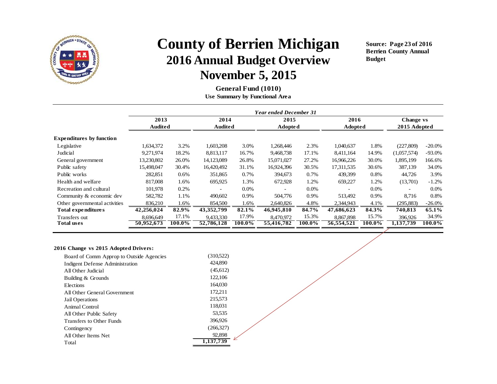

**Source: Page 23 of 2016 Berrien County Annual Budget**

**General Fund (1010)Use Summary by Functional Area**

|                                 |            | <b>Year ended December 31</b> |                          |         |            |         |                          |         |                          |           |  |  |
|---------------------------------|------------|-------------------------------|--------------------------|---------|------------|---------|--------------------------|---------|--------------------------|-----------|--|--|
|                                 | 2013       |                               | 2014                     |         | 2015       |         | 2016                     |         | Change vs                |           |  |  |
|                                 | Audited    |                               | <b>Audited</b>           |         |            | Adopted |                          | Adopted | 2015 Adopted             |           |  |  |
| <b>Expenditures by function</b> |            |                               |                          |         |            |         |                          |         |                          |           |  |  |
| Legislative                     | 1,634,372  | 3.2%                          | 1,603,208                | 3.0%    | 1,268,446  | 2.3%    | 1,040,637                | 1.8%    | (227, 809)               | $-20.0\%$ |  |  |
| Judicial                        | 9,271,974  | 18.2%                         | 8,813,117                | 16.7%   | 9,468,738  | 17.1%   | 8,411,164                | 14.9%   | (1,057,574)              | $-93.0%$  |  |  |
| General government              | 13,230,802 | 26.0%                         | 14,123,089               | 26.8%   | 15,071,027 | 27.2%   | 16,966,226               | 30.0%   | 1,895,199                | 166.6%    |  |  |
| Public safety                   | 15,498,047 | 30.4%                         | 16,420,492               | 31.1%   | 16,924,396 | 30.5%   | 17,311,535               | 30.6%   | 387,139                  | 34.0%     |  |  |
| Public works                    | 282,851    | 0.6%                          | 351,865                  | 0.7%    | 394,673    | 0.7%    | 439,399                  | 0.8%    | 44,726                   | 3.9%      |  |  |
| Health and welfare              | 817,008    | 1.6%                          | 695,925                  | 1.3%    | 672,928    | 1.2%    | 659,227                  | 1.2%    | (13,701)                 | $-1.2%$   |  |  |
| Recreation and cultural         | 101,978    | 0.2%                          | $\overline{\phantom{0}}$ | $0.0\%$ |            | $0.0\%$ | $\overline{\phantom{a}}$ | $0.0\%$ | $\overline{\phantom{0}}$ | $0.0\%$   |  |  |
| Community & economic dev        | 582,782    | 1.1%                          | 490,602                  | 0.9%    | 504,776    | 0.9%    | 513.492                  | 0.9%    | 8.716                    | 0.8%      |  |  |
| Other governmental activities   | 836,210    | 1.6%                          | 854,500                  | 1.6%    | 2.640.826  | 4.8%    | 2,344,943                | 4.1%    | (295, 883)               | $-26.0\%$ |  |  |
| Total expenditures              | 42,256,024 | 82.9%                         | 43, 352, 799             | 82.1%   | 46,945,810 | 84.7%   | 47,686,623               | 84.3%   | 740,813                  | 65.1%     |  |  |
| Transfers out                   | 8,696,649  | 17.1%                         | 9,433,330                | 17.9%   | 8,470,972  | 15.3%   | 8,867,898                | 15.7%   | 396.926                  | 34.9%     |  |  |
| <b>Total uses</b>               | 50,952,673 | 100.0%                        | 52,786,128               | 100.0%  | 55,416,782 | 100.0%  | 56,554,521               | 100.0%  | 1,137,739                | 100.0%    |  |  |
|                                 |            |                               |                          |         |            |         |                          |         |                          |           |  |  |

#### **2016 Change vs 2015 Adopted Drivers:**

| Board of Comm Approp to Outside Agencies | (310,522) |
|------------------------------------------|-----------|
| <b>Indigent Defense Administration</b>   | 424,890   |
| All Other Judicial                       | (45,612)  |
| Building & Grounds                       | 122,106   |
| Elections                                | 164,030   |
| All Other General Government             | 172.211   |
| Jail Operations                          | 215,573   |
| Animal Control                           | 118,031   |
| All Other Public Safety                  | 53.535    |
| Transfers to Other Funds                 | 396,926   |
| Contingency                              | (266,327) |
| All Other Items Net                      | 92.898    |
| Total                                    | 1.137.739 |